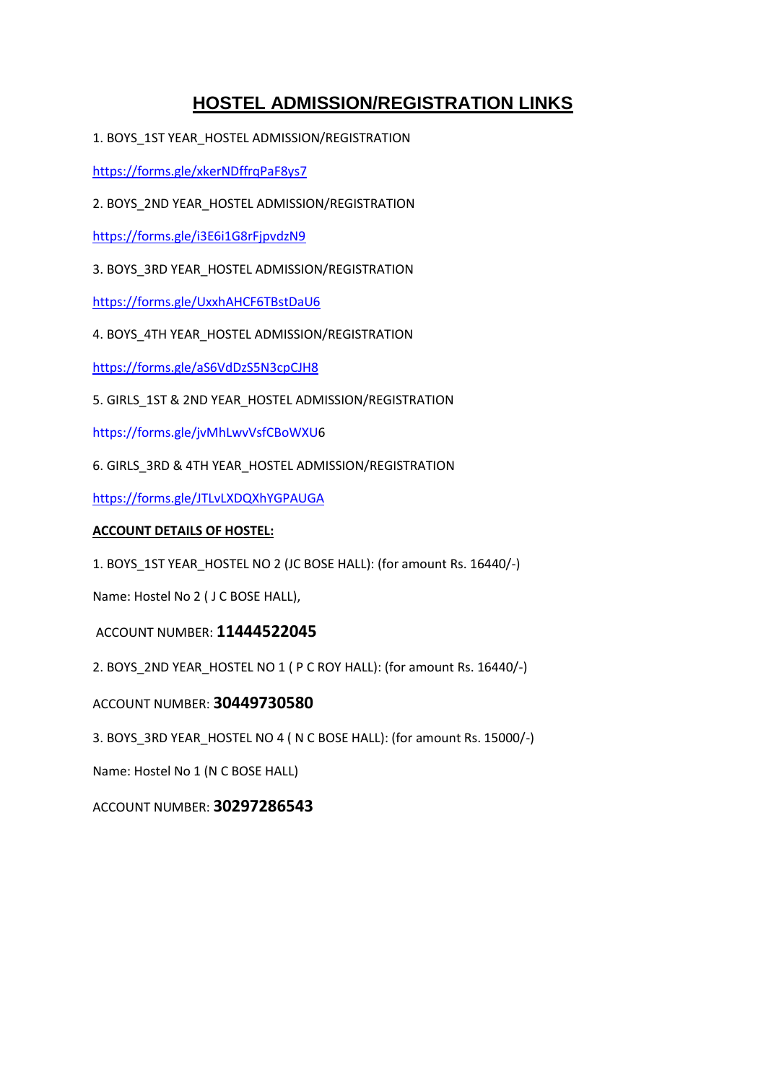## **HOSTEL ADMISSION/REGISTRATION LINKS**

1. BOYS\_1ST YEAR\_HOSTEL ADMISSION/REGISTRATION

<https://forms.gle/xkerNDffrqPaF8ys7>

2. BOYS\_2ND YEAR\_HOSTEL ADMISSION/REGISTRATION

<https://forms.gle/i3E6i1G8rFjpvdzN9>

3. BOYS\_3RD YEAR\_HOSTEL ADMISSION/REGISTRATION

<https://forms.gle/UxxhAHCF6TBstDaU6>

4. BOYS\_4TH YEAR\_HOSTEL ADMISSION/REGISTRATION

<https://forms.gle/aS6VdDzS5N3cpCJH8>

5. GIRLS\_1ST & 2ND YEAR\_HOSTEL ADMISSION/REGISTRATION

[https://forms.gle/jvMhLwvVsfCBoWXU6](https://forms.gle/jvMhLwvVsfCBoWXU)

6. GIRLS\_3RD & 4TH YEAR\_HOSTEL ADMISSION/REGISTRATION

<https://forms.gle/JTLvLXDQXhYGPAUGA>

## **ACCOUNT DETAILS OF HOSTEL:**

1. BOYS\_1ST YEAR\_HOSTEL NO 2 (JC BOSE HALL): (for amount Rs. 16440/-)

Name: Hostel No 2 ( J C BOSE HALL),

ACCOUNT NUMBER: **11444522045**

2. BOYS\_2ND YEAR\_HOSTEL NO 1 ( P C ROY HALL): (for amount Rs. 16440/-)

ACCOUNT NUMBER: **30449730580**

3. BOYS\_3RD YEAR\_HOSTEL NO 4 ( N C BOSE HALL): (for amount Rs. 15000/-)

Name: Hostel No 1 (N C BOSE HALL)

ACCOUNT NUMBER: **30297286543**